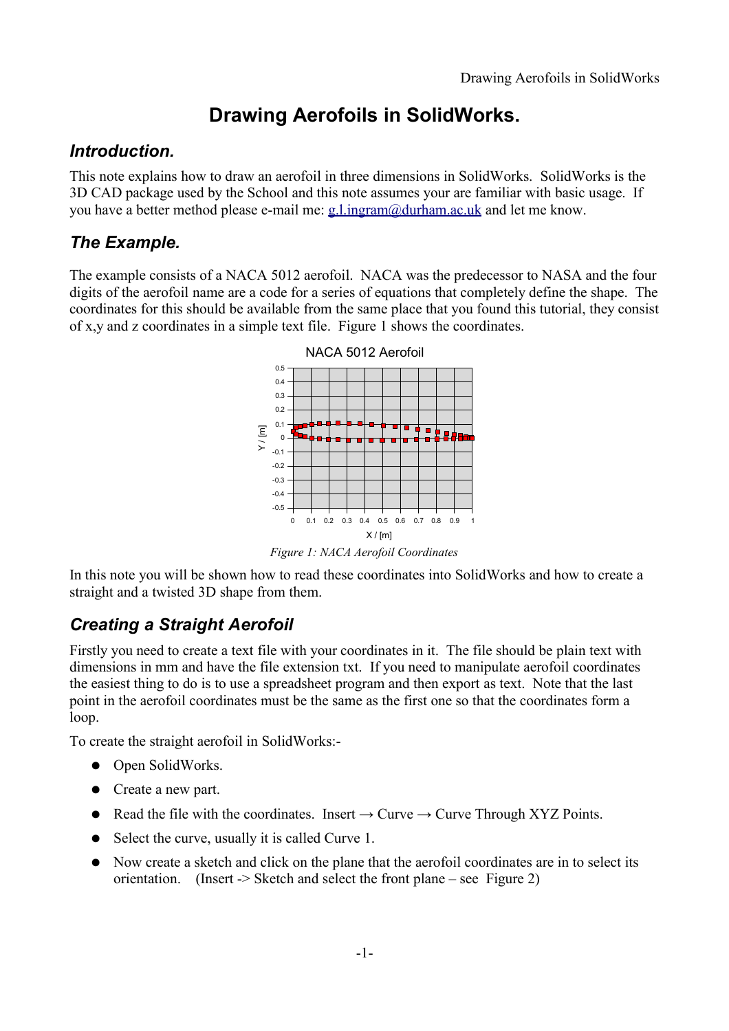# **Drawing Aerofoils in SolidWorks.**

#### *Introduction.*

This note explains how to draw an aerofoil in three dimensions in SolidWorks. SolidWorks is the 3D CAD package used by the School and this note assumes your are familiar with basic usage. If you have a better method please e-mail me: [g.l.ingram@durham.ac.uk](mailto:g.l.ingram@durham.ac.uk) and let me know.

## *The Example.*

The example consists of a NACA 5012 aerofoil. NACA was the predecessor to NASA and the four digits of the aerofoil name are a code for a series of equations that completely define the shape. The coordinates for this should be available from the same place that you found this tutorial, they consist of x,y and z coordinates in a simple text file. [Figure 1](#page-0-0) shows the coordinates.



<span id="page-0-0"></span>*Figure 1: NACA Aerofoil Coordinates*

In this note you will be shown how to read these coordinates into SolidWorks and how to create a straight and a twisted 3D shape from them.

## *Creating a Straight Aerofoil*

Firstly you need to create a text file with your coordinates in it. The file should be plain text with dimensions in mm and have the file extension txt. If you need to manipulate aerofoil coordinates the easiest thing to do is to use a spreadsheet program and then export as text. Note that the last point in the aerofoil coordinates must be the same as the first one so that the coordinates form a loop.

To create the straight aerofoil in SolidWorks:-

- Open SolidWorks.
- Create a new part.
- Read the file with the coordinates. Insert  $\rightarrow$  Curve  $\rightarrow$  Curve Through XYZ Points.
- Select the curve, usually it is called Curve 1.
- Now create a sketch and click on the plane that the aerofoil coordinates are in to select its orientation. (Insert -> Sketch and select the front plane – see [Figure 2\)](#page-1-0)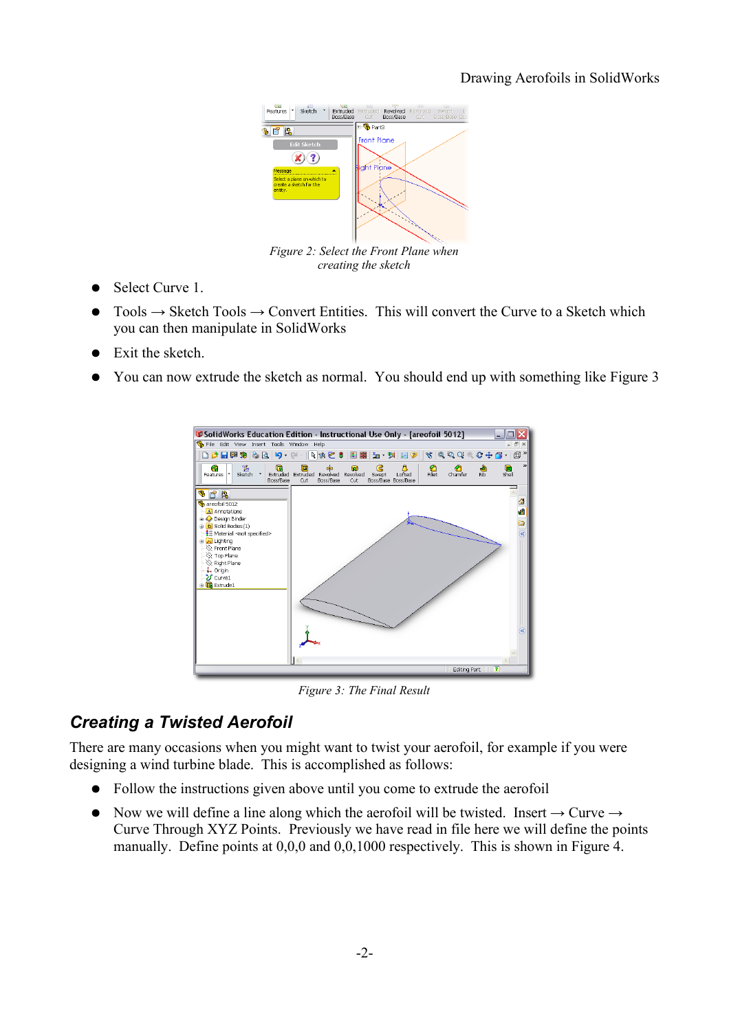

<span id="page-1-0"></span>*Figure 2: Select the Front Plane when creating the sketch*

- Select Curve 1.
- $Tools \rightarrow Sketch \, Tools \rightarrow Convert \, entities.$  This will convert the Curve to a Sketch which you can then manipulate in SolidWorks
- Exit the sketch.
- You can now extrude the sketch as normal. You should end up with something like [Figure 3](#page-1-1)



<span id="page-1-1"></span>*Figure 3: The Final Result*

### *Creating a Twisted Aerofoil*

There are many occasions when you might want to twist your aerofoil, for example if you were designing a wind turbine blade. This is accomplished as follows:

- Follow the instructions given above until you come to extrude the aerofoil
- Now we will define a line along which the aerofoil will be twisted. Insert  $\rightarrow$  Curve  $\rightarrow$ Curve Through XYZ Points. Previously we have read in file here we will define the points manually. Define points at 0,0,0 and 0,0,1000 respectively. This is shown in [Figure 4.](#page-2-0)